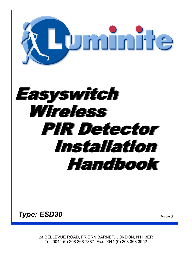

*Type: ESD30 Issue 2*

2a BELLEVUE ROAD, FRIERN BARNET, LONDON, N11 3ER Tel: 0044 (0) 208 368 7887 Fax: 0044 (0) 208 368 3952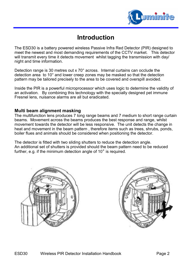

# **Introduction**

The ESD30 is a battery powered wireless Passive Infra Red Detector (PIR) designed to meet the newest and most demanding requirements of the CCTV market. This detector will transmit every time it detects movement whilst tagging the transmission with day/ night and time information.

Detection range is 30 metres out x 70° across. Internal curtains can occlude the detection area to 10° and lower creep zones may be masked so that the detection pattern may be tailored precisely to the area to be covered and overspill avoided.

Inside the PIR is a powerful microprocessor which uses logic to determine the validity of an activation. By combining this technology with the specially designed pet immune Fresnel lens, nuisance alarms are all but eradicated.

# **Multi beam alignment masking**

The multifunction lens produces 7 long range beams and 7 medium to short range curtain beams. Movement across the beams produces the best response and range, whilst movement towards the detector will be less responsive. The unit detects the change in heat and movement in the beam pattern , therefore items such as trees, shrubs, ponds, boiler flues and animals should be considered when positioning the detector.

The detector is fitted with two sliding shutters to reduce the detection angle. An additional set of shutters is provided should the beam pattern need to be reduced further, e.g. if the minimum detection angle of 10° is required.



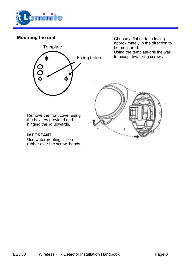

# **Mounting the unit**



Choose a flat surface facing approximately in the direction to be monitored. Using the template drill the wall to accept two fixing screws



### **IMPORTANT.**

Use waterproofing silicon rubber over the screw heads.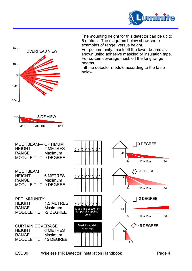

The mounting height for this detector can be up to 6 metres. The diagrams below show some examples of range versus height.

For pet immunity, mask off the lower beams as shown using adhesive masking or insulation tape. For curtain coverage mask off the long range beams.

Tilt the detector module according to the table below.



OVERHEAD VIEW

20m

10m

0

20m

10m



ESD30 Wireless PIR Detector Installation Handbook Page 4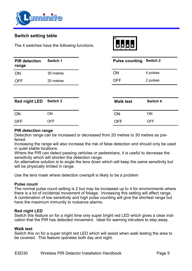

# **Switch setting table**

The 4 switches have the following functions.

| <b>PIR detection</b><br>range | Switch 1  |
|-------------------------------|-----------|
| ON                            | 30 metres |
| OFF                           | 20 metres |



| <b>Pulse counting Switch 2</b> |          |
|--------------------------------|----------|
| ON                             | 4 pulses |
| OFF                            | 2 pulses |
|                                |          |

| Red night LED Switch 3 |            | <b>Walk test</b> | Switch 4   |
|------------------------|------------|------------------|------------|
| ON                     | ΟN         | ON               | ON         |
| <b>OFF</b>             | <b>OFF</b> | OFF              | <b>OFF</b> |

#### **PIR detection range**

Detection range can be increased or decreased from 20 metres to 30 metres as preferred.

Increasing the range will also increase the risk of false detection and should only be used in quiet stable locations.

Where the PIR can detect passing vehicles or pedestrians, it is useful to decrease the sensitivity which will shorten the detection range.

An alternative solution is to angle the lens down which will keep the same sensitivity but will be physically limited in range.

Use the lens mask where detection overspill is likely to be a problem

#### **Pulse count**

The normal pulse count setting is 2 but may be increased up to 4 for environments where there is a lot of incidental movement of foliage. Increasing this setting will affect range. A combination of low sensitivity and high pulse counting will give the shortest range but have the maximum immunity to nuisance alarms.

#### **Red night LED**

Switch this feature on for a night time only super bright red LED which gives a clear indication that the PIR has detected movement. Ideal for warning intruders to stay away.

#### **Walk test**

Switch this on for a super bright red LED which will assist when walk testing the area to be covered. This feature operates both day and night.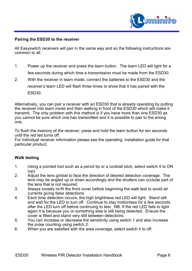

#### **Pairing the ESD30 to the receiver**

All Easyswitch receivers will pair in the same way and so the following instructions are common to all.

- 1. Power up the receiver and press the learn button. The learn LED will light for a few seconds during which time a transmission must be made from the ESD30.
- 2. With the receiver in learn mode, connect the batteries to the ESD30 and the receiver's learn LED will flash three times to show that it has paired with the ESD30.

Alternatively, you can pair a receiver with an ESD30 that is already operating by putting the receiver into learn mode and then walking in front of the ESD30 which will make it transmit. The only problem with this method is if you have more than one ESD30 as you cannot be sure which one has transmitted and it is possible to pair to the wrong one.

To flush the memory of the receiver, press and hold the learn button for ten seconds until the red led turns off.

For individual receiver information please see the operating installation guide for that particular product.

#### **Walk testing**

- 1. Using a pointed tool such as a pencil tip or a cocktail stick, select switch 4 to ON (up).
- 2. Adjust the lens gimbal to face the direction of desired detection coverage. The lens may be angled up or down accordingly and the shutters can occlude part of the lens that is not required.
- 3. Always loosely re-fit the front cover before beginning the walk test to avoid air currents giving false detections.
- 4. Each time detection occurs, the high brightness red LED will light. Stand still and wait for the LED to turn off. Continue to stay motionless for a few seconds after the LED turn off before continuing to test. NB: If the red LED fails to light again it is because you or something else is still being detected. Ensure the cover is fitted and stand very still between detections.
- 5. You can increase or decrease the sensitivity using switch 1 and also increase the pulse counting using switch 2.
- 6. When you are satisfied with the area coverage, select switch 4 to off.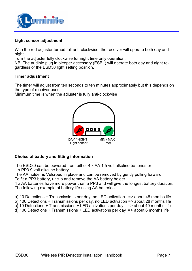

## **Light sensor adjustment**

With the red adjuster turned full anti-clockwise, the receiver will operate both day and night.

Turn the adjuster fully clockwise for night time only operation.

NB: The audible plug in bleeper accessory (ESB1) will operate both day and night regardless of the ESD30 light setting position.

#### **Timer adjustment**

The timer will adjust from ten seconds to ten minutes approximately but this depends on the type of receiver used.

Minimum time is when the adjuster is fully anti-clockwise



# **Choice of battery and fitting information**

The ESD30 can be powered from either 4 x AA 1.5 volt alkaline batteries or 1 x PP3 9 volt alkaline battery.

The AA holder is Velcroed in place and can be removed by gently pulling forward.

To fit a PP3 battery, unclip and remove the AA battery holder.

4 x AA batteries have more power than a PP3 and will give the longest battery duration. The following example of battery life using AA batteries

a) 10 Detections  $+$  Transmissions per day, no LED activation  $\Rightarrow$  about 48 months life

- b) 100 Detections + Transmissions per day, no LED activation => about 28 months life
- c) 10 Detections + Transmissions + LED activations per day => about 40 months life
- d) 100 Detections + Transmissions + LED activations per day => about 6 months life